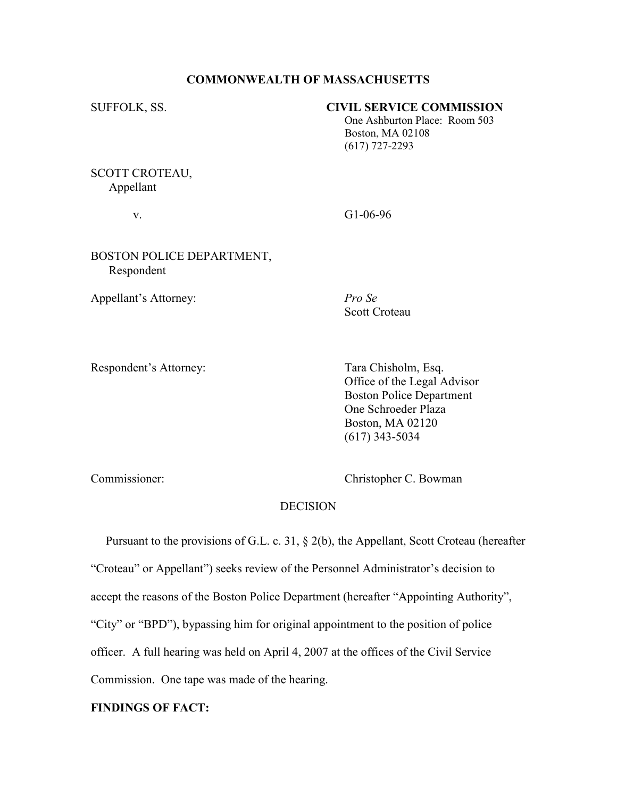#### COMMONWEALTH OF MASSACHUSETTS

#### SUFFOLK, SS. CIVIL SERVICE COMMISSION

 One Ashburton Place: Room 503 Boston, MA 02108 (617) 727-2293

SCOTT CROTEAU, Appellant

v. G1-06-96

## BOSTON POLICE DEPARTMENT, Respondent

Appellant's Attorney: Pro Se

Scott Croteau

Respondent's Attorney: Tara Chisholm, Esq.

 Office of the Legal Advisor Boston Police Department One Schroeder Plaza Boston, MA 02120 (617) 343-5034

Commissioner: Christopher C. Bowman

# **DECISION**

 Pursuant to the provisions of G.L. c. 31, § 2(b), the Appellant, Scott Croteau (hereafter "Croteau" or Appellant") seeks review of the Personnel Administrator's decision to accept the reasons of the Boston Police Department (hereafter "Appointing Authority", "City" or "BPD"), bypassing him for original appointment to the position of police officer. A full hearing was held on April 4, 2007 at the offices of the Civil Service Commission. One tape was made of the hearing.

## FINDINGS OF FACT: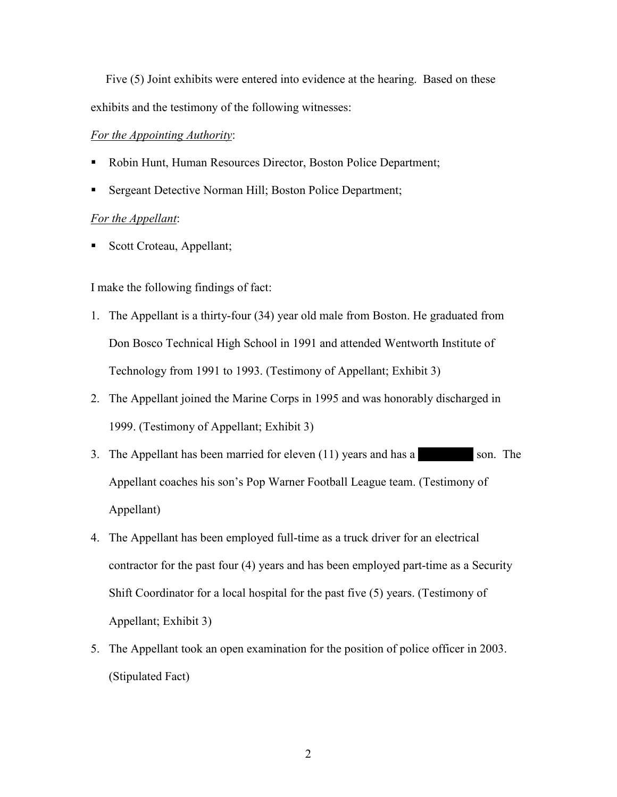Five (5) Joint exhibits were entered into evidence at the hearing. Based on these exhibits and the testimony of the following witnesses:

#### For the Appointing Authority:

- Robin Hunt, Human Resources Director, Boston Police Department;
- Sergeant Detective Norman Hill; Boston Police Department;

#### For the Appellant:

Scott Croteau, Appellant;

I make the following findings of fact:

- 1. The Appellant is a thirty-four (34) year old male from Boston. He graduated from Don Bosco Technical High School in 1991 and attended Wentworth Institute of Technology from 1991 to 1993. (Testimony of Appellant; Exhibit 3)
- 2. The Appellant joined the Marine Corps in 1995 and was honorably discharged in 1999. (Testimony of Appellant; Exhibit 3)
- 3. The Appellant has been married for eleven  $(11)$  years and has a  $\sim$  100-year old son. The 1999. (Testimony of Appellant; Exhibit 3)<br>
The Appellant has been married for eleven (11) years and has a<br>
Appellant coaches his son's Pop Warner Football League team. (Testimony of Appellant)
- 4. The Appellant has been employed full-time as a truck driver for an electrical contractor for the past four (4) years and has been employed part-time as a Security Shift Coordinator for a local hospital for the past five (5) years. (Testimony of Appellant; Exhibit 3)
- 5. The Appellant took an open examination for the position of police officer in 2003. (Stipulated Fact)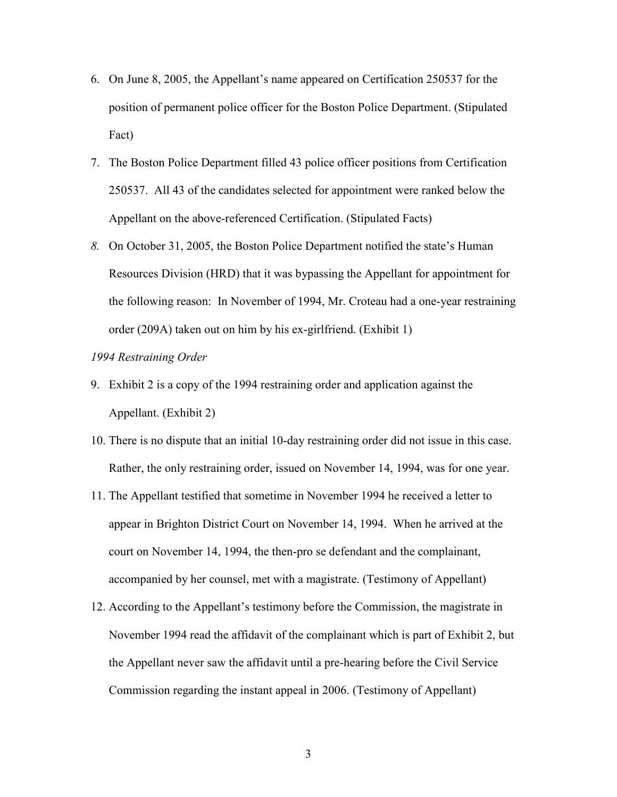- 6. On June 8, 2005, the Appellant's name appeared on Certification 250537 for the position of permanent police officer for the Boston Police Department. (Stipulated Fact)
- 7. The Boston Police Department filled 43 police officer positions from Certification 250537. All 43 of the candidates selected for appointment were ranked below the Appellant on the above-referenced Certification. (Stipulated Facts)
- 8. On October 31, 2005, the Boston Police Department notified the state's Human Resources Division (HRD) that it was bypassing the Appellant for appointment for the following reason: In November of 1994, Mr. Croteau had a one-year restraining order (209A) taken out on him by his ex-girlfriend. (Exhibit 1)

#### 1994 Restraining Order

- 9. Exhibit 2 is a copy of the 1994 restraining order and application against the Appellant. (Exhibit 2)
- 10. There is no dispute that an initial 10-day restraining order did not issue in this case. Rather, the only restraining order, issued on November 14, 1994, was for one year.
- 11. The Appellant testified that sometime in November 1994 he received a letter to appear in Brighton District Court on November 14, 1994. When he arrived at the court on November 14, 1994, the then-pro se defendant and the complainant, accompanied by her counsel, met with a magistrate. (Testimony of Appellant)
- 12. According to the Appellant's testimony before the Commission, the magistrate in November 1994 read the affidavit of the complainant which is part of Exhibit 2, but the Appellant never saw the affidavit until a pre-hearing before the Civil Service Commission regarding the instant appeal in 2006. (Testimony of Appellant)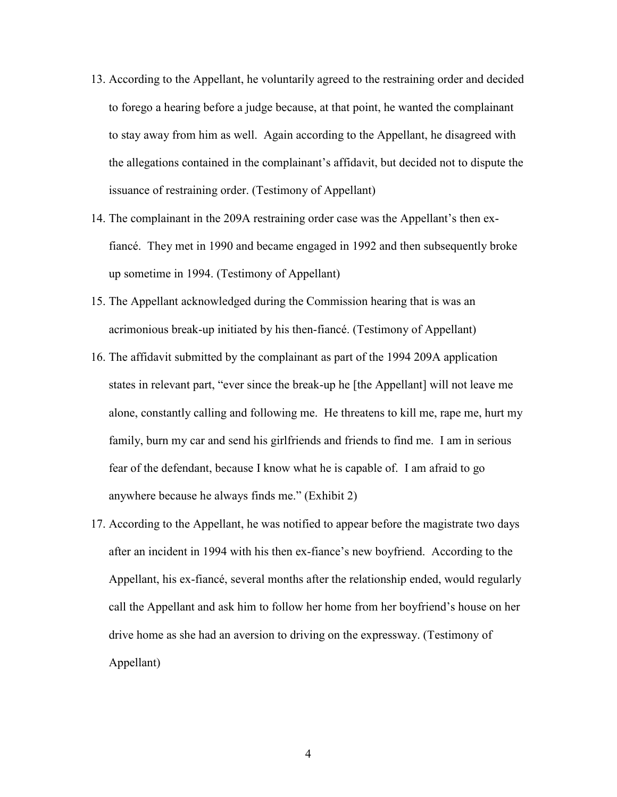- 13. According to the Appellant, he voluntarily agreed to the restraining order and decided to forego a hearing before a judge because, at that point, he wanted the complainant to stay away from him as well. Again according to the Appellant, he disagreed with the allegations contained in the complainant's affidavit, but decided not to dispute the issuance of restraining order. (Testimony of Appellant)
- 14. The complainant in the 209A restraining order case was the Appellant's then exfiancé. They met in 1990 and became engaged in 1992 and then subsequently broke up sometime in 1994. (Testimony of Appellant)
- 15. The Appellant acknowledged during the Commission hearing that is was an acrimonious break-up initiated by his then-fiancé. (Testimony of Appellant)
- 16. The affidavit submitted by the complainant as part of the 1994 209A application states in relevant part, "ever since the break-up he [the Appellant] will not leave me alone, constantly calling and following me. He threatens to kill me, rape me, hurt my family, burn my car and send his girlfriends and friends to find me. I am in serious fear of the defendant, because I know what he is capable of. I am afraid to go anywhere because he always finds me." (Exhibit 2)
- 17. According to the Appellant, he was notified to appear before the magistrate two days after an incident in 1994 with his then ex-fiance's new boyfriend. According to the Appellant, his ex-fiancé, several months after the relationship ended, would regularly call the Appellant and ask him to follow her home from her boyfriend's house on her drive home as she had an aversion to driving on the expressway. (Testimony of Appellant)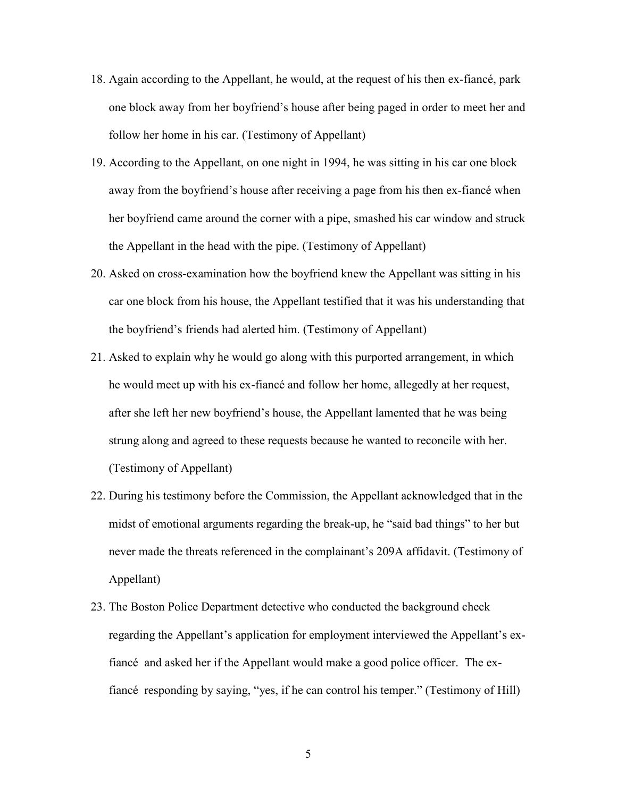- 18. Again according to the Appellant, he would, at the request of his then ex-fiancé, park one block away from her boyfriend's house after being paged in order to meet her and follow her home in his car. (Testimony of Appellant)
- 19. According to the Appellant, on one night in 1994, he was sitting in his car one block away from the boyfriend's house after receiving a page from his then ex-fiancé when her boyfriend came around the corner with a pipe, smashed his car window and struck the Appellant in the head with the pipe. (Testimony of Appellant)
- 20. Asked on cross-examination how the boyfriend knew the Appellant was sitting in his car one block from his house, the Appellant testified that it was his understanding that the boyfriend's friends had alerted him. (Testimony of Appellant)
- 21. Asked to explain why he would go along with this purported arrangement, in which he would meet up with his ex-fiancé and follow her home, allegedly at her request, after she left her new boyfriend's house, the Appellant lamented that he was being strung along and agreed to these requests because he wanted to reconcile with her. (Testimony of Appellant)
- 22. During his testimony before the Commission, the Appellant acknowledged that in the midst of emotional arguments regarding the break-up, he "said bad things" to her but never made the threats referenced in the complainant's 209A affidavit. (Testimony of Appellant)
- 23. The Boston Police Department detective who conducted the background check regarding the Appellant's application for employment interviewed the Appellant's exfiancé and asked her if the Appellant would make a good police officer. The exfiancé responding by saying, "yes, if he can control his temper." (Testimony of Hill)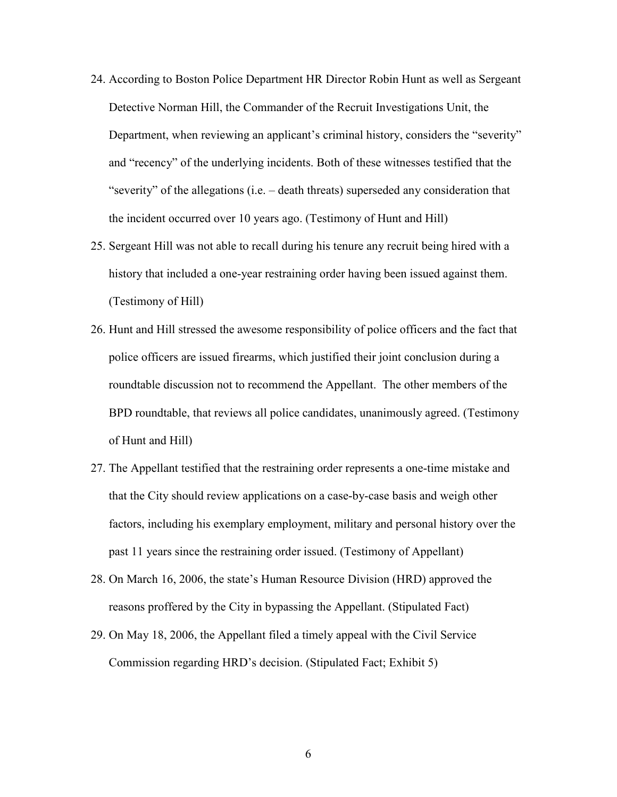- 24. According to Boston Police Department HR Director Robin Hunt as well as Sergeant Detective Norman Hill, the Commander of the Recruit Investigations Unit, the Department, when reviewing an applicant's criminal history, considers the "severity" and "recency" of the underlying incidents. Both of these witnesses testified that the "severity" of the allegations (i.e. – death threats) superseded any consideration that the incident occurred over 10 years ago. (Testimony of Hunt and Hill)
- 25. Sergeant Hill was not able to recall during his tenure any recruit being hired with a history that included a one-year restraining order having been issued against them. (Testimony of Hill)
- 26. Hunt and Hill stressed the awesome responsibility of police officers and the fact that police officers are issued firearms, which justified their joint conclusion during a roundtable discussion not to recommend the Appellant. The other members of the BPD roundtable, that reviews all police candidates, unanimously agreed. (Testimony of Hunt and Hill)
- 27. The Appellant testified that the restraining order represents a one-time mistake and that the City should review applications on a case-by-case basis and weigh other factors, including his exemplary employment, military and personal history over the past 11 years since the restraining order issued. (Testimony of Appellant)
- 28. On March 16, 2006, the state's Human Resource Division (HRD) approved the reasons proffered by the City in bypassing the Appellant. (Stipulated Fact)
- 29. On May 18, 2006, the Appellant filed a timely appeal with the Civil Service Commission regarding HRD's decision. (Stipulated Fact; Exhibit 5)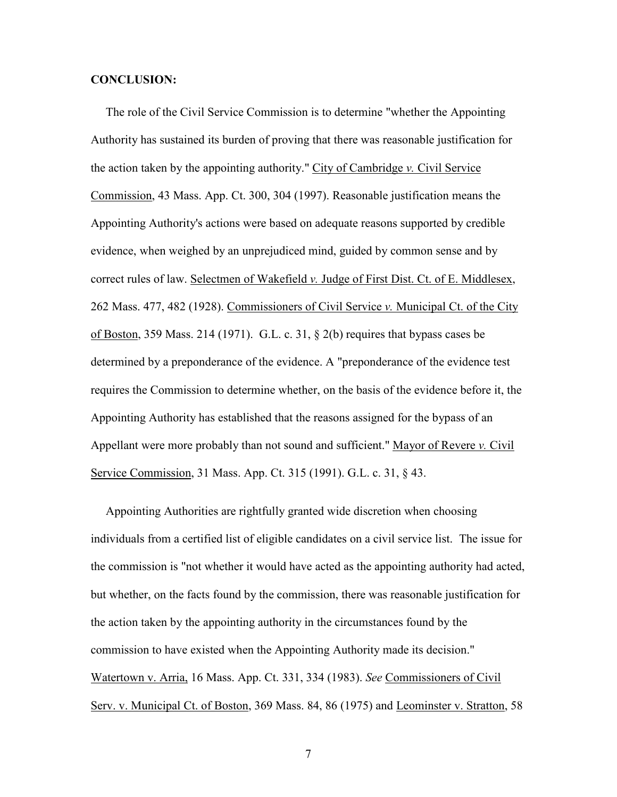#### CONCLUSION:

 The role of the Civil Service Commission is to determine "whether the Appointing Authority has sustained its burden of proving that there was reasonable justification for the action taken by the appointing authority." City of Cambridge v. Civil Service Commission, 43 Mass. App. Ct. 300, 304 (1997). Reasonable justification means the Appointing Authority's actions were based on adequate reasons supported by credible evidence, when weighed by an unprejudiced mind, guided by common sense and by correct rules of law. Selectmen of Wakefield  $\nu$ . Judge of First Dist. Ct. of E. Middlesex, 262 Mass. 477, 482 (1928). Commissioners of Civil Service v. Municipal Ct. of the City of Boston, 359 Mass. 214 (1971). G.L. c. 31, § 2(b) requires that bypass cases be determined by a preponderance of the evidence. A "preponderance of the evidence test requires the Commission to determine whether, on the basis of the evidence before it, the Appointing Authority has established that the reasons assigned for the bypass of an Appellant were more probably than not sound and sufficient." Mayor of Revere v. Civil Service Commission, 31 Mass. App. Ct. 315 (1991). G.L. c. 31, § 43.

 Appointing Authorities are rightfully granted wide discretion when choosing individuals from a certified list of eligible candidates on a civil service list. The issue for the commission is "not whether it would have acted as the appointing authority had acted, but whether, on the facts found by the commission, there was reasonable justification for the action taken by the appointing authority in the circumstances found by the commission to have existed when the Appointing Authority made its decision." Watertown v. Arria, 16 Mass. App. Ct. 331, 334 (1983). See Commissioners of Civil Serv. v. Municipal Ct. of Boston, 369 Mass. 84, 86 (1975) and Leominster v. Stratton, 58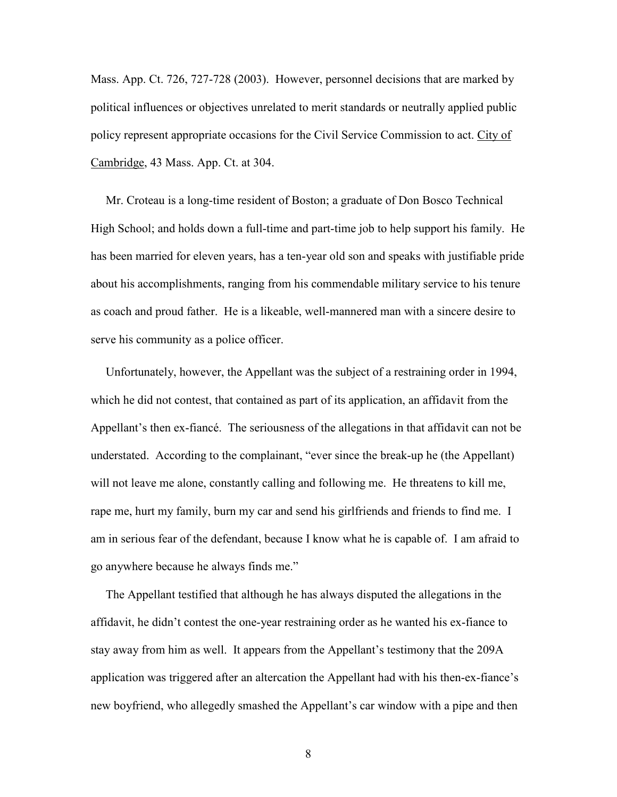Mass. App. Ct. 726, 727-728 (2003). However, personnel decisions that are marked by political influences or objectives unrelated to merit standards or neutrally applied public policy represent appropriate occasions for the Civil Service Commission to act. City of Cambridge, 43 Mass. App. Ct. at 304.

 Mr. Croteau is a long-time resident of Boston; a graduate of Don Bosco Technical High School; and holds down a full-time and part-time job to help support his family. He has been married for eleven years, has a ten-year old son and speaks with justifiable pride about his accomplishments, ranging from his commendable military service to his tenure as coach and proud father. He is a likeable, well-mannered man with a sincere desire to serve his community as a police officer.

 Unfortunately, however, the Appellant was the subject of a restraining order in 1994, which he did not contest, that contained as part of its application, an affidavit from the Appellant's then ex-fiancé. The seriousness of the allegations in that affidavit can not be understated. According to the complainant, "ever since the break-up he (the Appellant) will not leave me alone, constantly calling and following me. He threatens to kill me, rape me, hurt my family, burn my car and send his girlfriends and friends to find me. I am in serious fear of the defendant, because I know what he is capable of. I am afraid to go anywhere because he always finds me."

 The Appellant testified that although he has always disputed the allegations in the affidavit, he didn't contest the one-year restraining order as he wanted his ex-fiance to stay away from him as well. It appears from the Appellant's testimony that the 209A application was triggered after an altercation the Appellant had with his then-ex-fiance's new boyfriend, who allegedly smashed the Appellant's car window with a pipe and then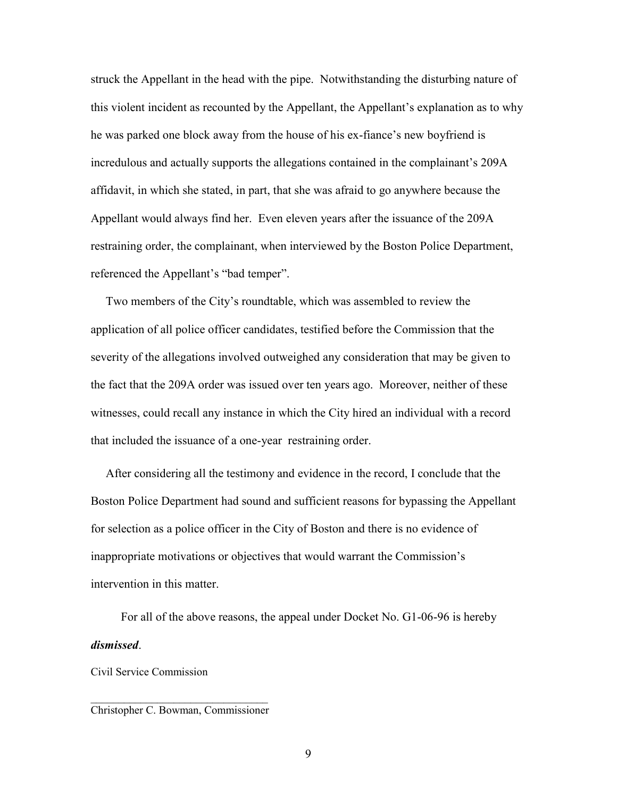struck the Appellant in the head with the pipe. Notwithstanding the disturbing nature of this violent incident as recounted by the Appellant, the Appellant's explanation as to why he was parked one block away from the house of his ex-fiance's new boyfriend is incredulous and actually supports the allegations contained in the complainant's 209A affidavit, in which she stated, in part, that she was afraid to go anywhere because the Appellant would always find her. Even eleven years after the issuance of the 209A restraining order, the complainant, when interviewed by the Boston Police Department, referenced the Appellant's "bad temper".

 Two members of the City's roundtable, which was assembled to review the application of all police officer candidates, testified before the Commission that the severity of the allegations involved outweighed any consideration that may be given to the fact that the 209A order was issued over ten years ago. Moreover, neither of these witnesses, could recall any instance in which the City hired an individual with a record that included the issuance of a one-year restraining order.

 After considering all the testimony and evidence in the record, I conclude that the Boston Police Department had sound and sufficient reasons for bypassing the Appellant for selection as a police officer in the City of Boston and there is no evidence of inappropriate motivations or objectives that would warrant the Commission's intervention in this matter.

 For all of the above reasons, the appeal under Docket No. G1-06-96 is hereby dismissed.

Civil Service Commission

\_\_\_\_\_\_\_\_\_\_\_\_\_\_\_\_\_\_\_\_\_\_\_\_\_\_\_\_\_\_\_\_ Christopher C. Bowman, Commissioner